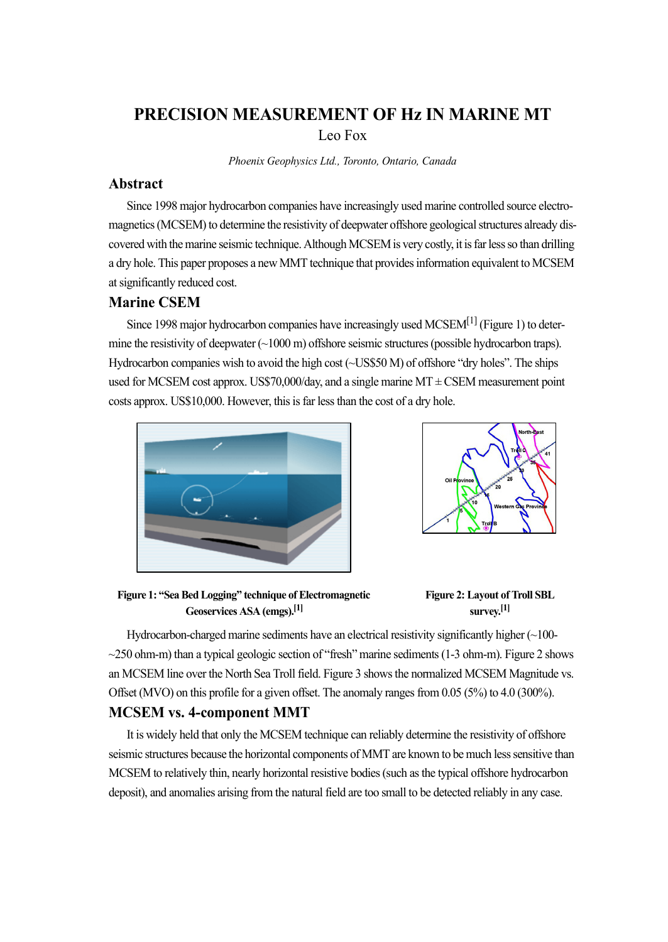# **PRECISION MEASUREMENT OF Hz IN MARINE MT** Leo Fox

*Phoenix Geophysics Ltd., Toronto, Ontario, Canada*

## **Abstract**

Since 1998 major hydrocarbon companies have increasingly used marine controlled source electromagnetics (MCSEM) to determine the resistivity of deepwater offshore geological structures already discovered with the marine seismic technique. Although MCSEM is very costly, it is far less so than drilling a dry hole. This paper proposes a new MMT technique that provides information equivalent to MCSEM at significantly reduced cost.

## **Marine CSEM**

Since 1998 major hydrocarbon companies have increasingly used MCSEM<sup>[1]</sup> (Figure 1) to determine the resistivity of deepwater (~1000 m) offshore seismic structures (possible hydrocarbon traps). Hydrocarbon companies wish to avoid the high cost (~US\$50 M) of offshore "dry holes". The ships used for MCSEM cost approx. US\$70,000/day, and a single marine  $MT \pm CSEM$  measurement point costs approx. US\$10,000. However, this is far less than the cost of a dry hole.





**Figure 1: "Sea Bed Logging" technique of Electromagnetic Geoservices ASA (emgs).[1]**



Hydrocarbon-charged marine sediments have an electrical resistivity significantly higher (~100-  $\sim$ 250 ohm-m) than a typical geologic section of "fresh" marine sediments (1-3 ohm-m). Figure 2 shows an MCSEM line over the North Sea Troll field. Figure 3 shows the normalized MCSEM Magnitude vs. Offset (MVO) on this profile for a given offset. The anomaly ranges from 0.05 (5%) to 4.0 (300%).

#### **MCSEM vs. 4-component MMT**

It is widely held that only the MCSEM technique can reliably determine the resistivity of offshore seismic structures because the horizontal components of MMT are known to be much less sensitive than MCSEM to relatively thin, nearly horizontal resistive bodies (such as the typical offshore hydrocarbon deposit), and anomalies arising from the natural field are too small to be detected reliably in any case.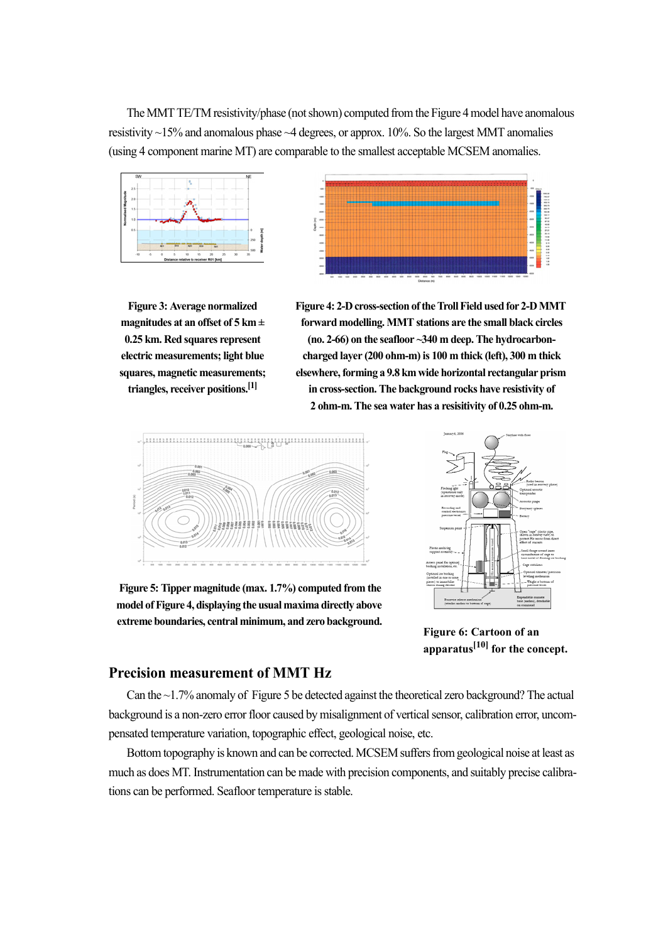The MMT TE/TM resistivity/phase (not shown) computed from the Figure 4 model have anomalous resistivity ~15% and anomalous phase ~4 degrees, or approx. 10%. So the largest MMT anomalies (using 4 component marine MT) are comparable to the smallest acceptable MCSEM anomalies.





**Figure 3: Average normalized magnitudes at an offset of 5 km ± 0.25 km. Red squares represent electric measurements; light blue squares, magnetic measurements; triangles, receiver positions.[1]**

**Figure 4: 2-D cross-section of the Troll Field used for 2-D MMT forward modelling. MMT stations are the small black circles (no. 2-66) on the seafloor ~340 m deep. The hydrocarboncharged layer (200 ohm-m) is 100 m thick (left), 300 m thick elsewhere, forming a 9.8 km wide horizontal rectangular prism in cross-section. The background rocks have resistivity of 2 ohm-m. The sea water has a resisitivity of 0.25 ohm-m.**



**Figure 5: Tipper magnitude (max. 1.7%) computed from the model of Figure 4, displaying the usual maxima directly above extreme boundaries, central minimum, and zero background.** 



**Figure 6: Cartoon of an apparatus[10] for the concept.**

### **Precision measurement of MMT Hz**

Can the ~1.7% anomaly of Figure 5 be detected against the theoretical zero background? The actual background is a non-zero error floor caused by misalignment of vertical sensor, calibration error, uncompensated temperature variation, topographic effect, geological noise, etc.

Bottom topography is known and can be corrected. MCSEM suffers from geological noise at least as much as does MT. Instrumentation can be made with precision components, and suitably precise calibrations can be performed. Seafloor temperature is stable.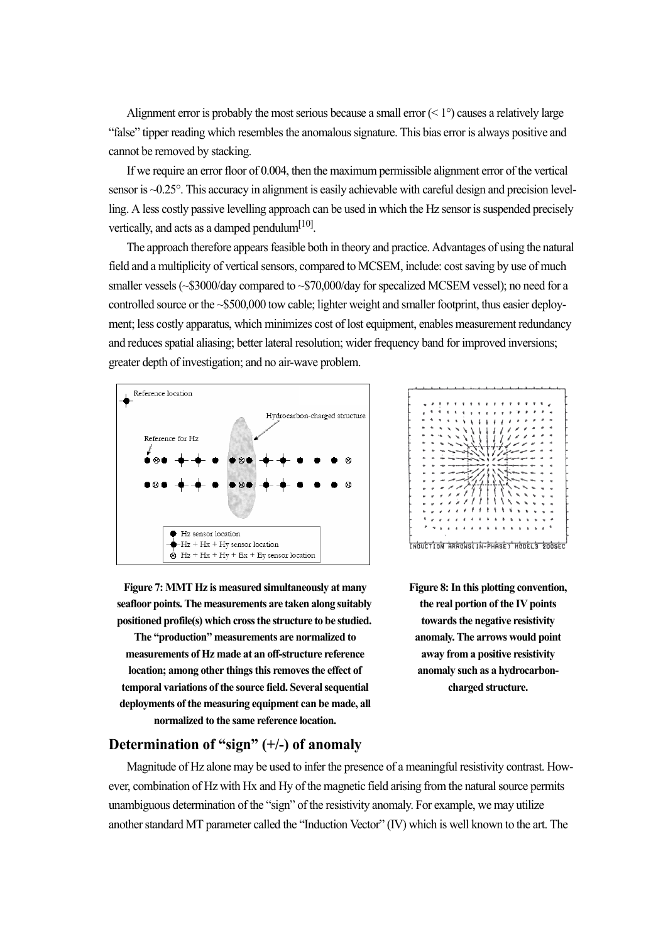Alignment error is probably the most serious because a small error  $(1^{\circ})$  causes a relatively large "false" tipper reading which resembles the anomalous signature. This bias error is always positive and cannot be removed by stacking.

If we require an error floor of 0.004, then the maximum permissible alignment error of the vertical sensor is ~0.25°. This accuracy in alignment is easily achievable with careful design and precision levelling. A less costly passive levelling approach can be used in which the Hz sensor is suspended precisely vertically, and acts as a damped pendulum<sup>[10]</sup>.

The approach therefore appears feasible both in theory and practice. Advantages of using the natural field and a multiplicity of vertical sensors, compared to MCSEM, include: cost saving by use of much smaller vessels (~\$3000/day compared to ~\$70,000/day for specalized MCSEM vessel); no need for a controlled source or the ~\$500,000 tow cable; lighter weight and smaller footprint, thus easier deployment; less costly apparatus, which minimizes cost of lost equipment, enables measurement redundancy and reduces spatial aliasing; better lateral resolution; wider frequency band for improved inversions; greater depth of investigation; and no air-wave problem.





**Figure 7: MMT Hz is measured simultaneously at many seafloor points. The measurements are taken along suitably positioned profile(s) which cross the structure to be studied.** 

**The "production" measurements are normalized to measurements of Hz made at an off-structure reference location; among other things this removes the effect of temporal variations of the source field. Several sequential deployments of the measuring equipment can be made, all normalized to the same reference location.**

**Figure 8: In this plotting convention, the real portion of the IV points towards the negative resistivity anomaly. The arrows would point away from a positive resistivity anomaly such as a hydrocarboncharged structure.**

# **Determination of "sign" (+/-) of anomaly**

Magnitude of Hz alone may be used to infer the presence of a meaningful resistivity contrast. However, combination of Hz with Hx and Hy of the magnetic field arising from the natural source permits unambiguous determination of the "sign" of the resistivity anomaly. For example, we may utilize another standard MT parameter called the "Induction Vector" (IV) which is well known to the art. The